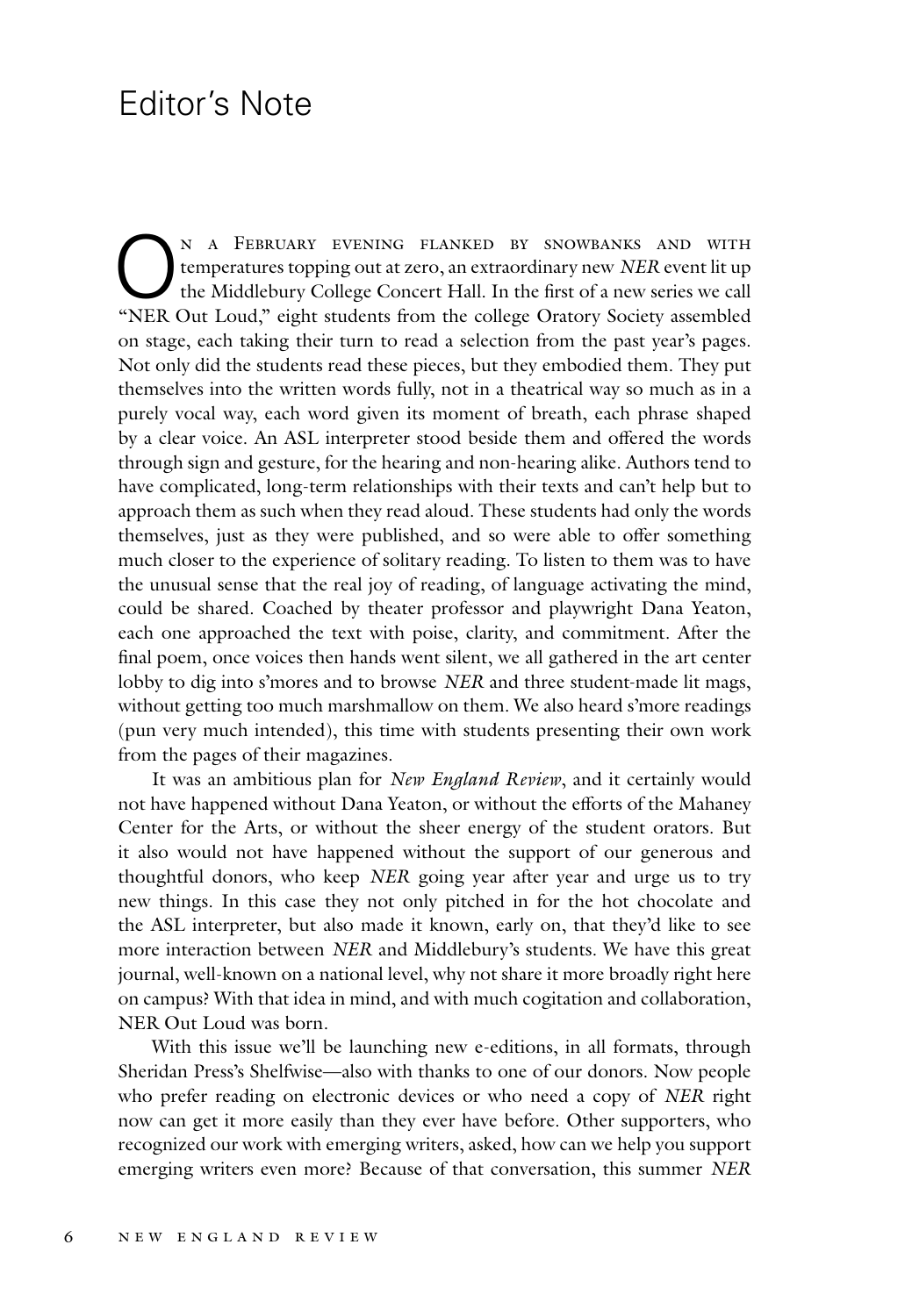## Editor's Note

N A FEBRUARY EVENING FLANKED BY SNOWBANKS AND WITH<br>temperatures topping out at zero, an extraordinary new *NER* event lit up<br>the Middlebury College Concert Hall. In the first of a new series we call<br>"NER Out I oud " sight temperatures topping out at zero, an extraordinary new *NER* event lit up the Middlebury College Concert Hall. In the first of a new series we call "NER Out Loud," eight students from the college Oratory Society assembled on stage, each taking their turn to read a selection from the past year's pages. Not only did the students read these pieces, but they embodied them. They put themselves into the written words fully, not in a theatrical way so much as in a purely vocal way, each word given its moment of breath, each phrase shaped by a clear voice. An ASL interpreter stood beside them and offered the words through sign and gesture, for the hearing and non-hearing alike. Authors tend to have complicated, long-term relationships with their texts and can't help but to approach them as such when they read aloud. These students had only the words themselves, just as they were published, and so were able to offer something much closer to the experience of solitary reading. To listen to them was to have the unusual sense that the real joy of reading, of language activating the mind, could be shared. Coached by theater professor and playwright Dana Yeaton, each one approached the text with poise, clarity, and commitment. After the final poem, once voices then hands went silent, we all gathered in the art center lobby to dig into s'mores and to browse *NER* and three student-made lit mags, without getting too much marshmallow on them. We also heard s'more readings (pun very much intended), this time with students presenting their own work from the pages of their magazines.

It was an ambitious plan for *New England Review*, and it certainly would not have happened without Dana Yeaton, or without the efforts of the Mahaney Center for the Arts, or without the sheer energy of the student orators. But it also would not have happened without the support of our generous and thoughtful donors, who keep *NER* going year after year and urge us to try new things. In this case they not only pitched in for the hot chocolate and the ASL interpreter, but also made it known, early on, that they'd like to see more interaction between *NER* and Middlebury's students. We have this great journal, well-known on a national level, why not share it more broadly right here on campus? With that idea in mind, and with much cogitation and collaboration, NER Out Loud was born.

With this issue we'll be launching new e-editions, in all formats, through Sheridan Press's Shelfwise—also with thanks to one of our donors. Now people who prefer reading on electronic devices or who need a copy of *NER* right now can get it more easily than they ever have before. Other supporters, who recognized our work with emerging writers, asked, how can we help you support emerging writers even more? Because of that conversation, this summer *NER*